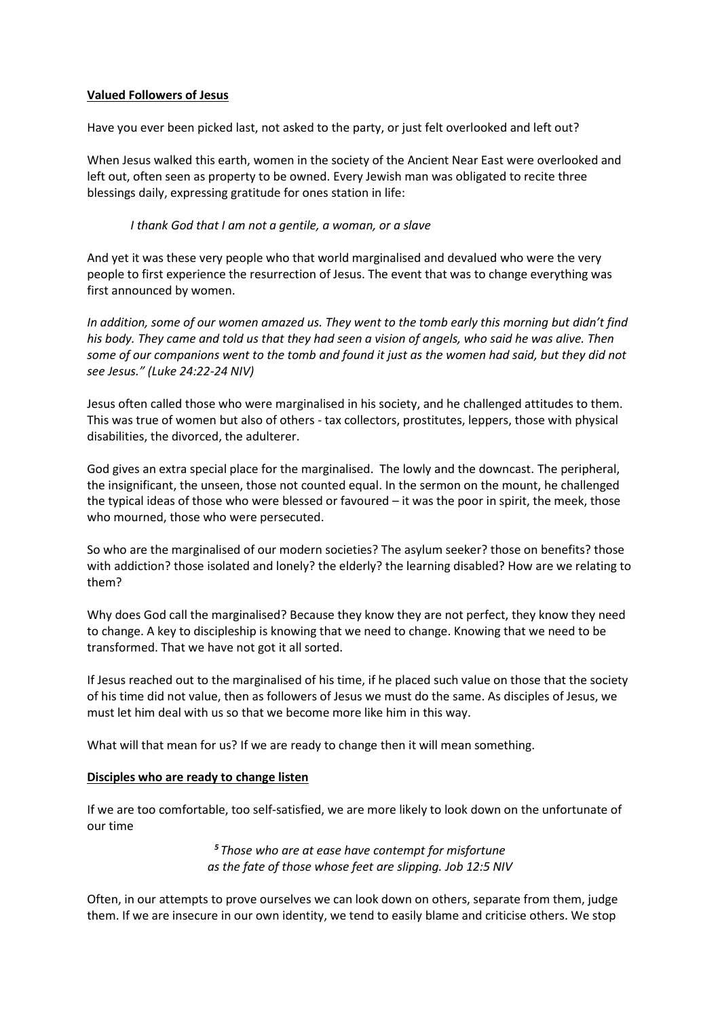## **Valued Followers of Jesus**

Have you ever been picked last, not asked to the party, or just felt overlooked and left out?

When Jesus walked this earth, women in the society of the Ancient Near East were overlooked and left out, often seen as property to be owned. Every Jewish man was obligated to recite three blessings daily, expressing gratitude for ones station in life:

## *I thank God that I am not a gentile, a woman, or a slave*

And yet it was these very people who that world marginalised and devalued who were the very people to first experience the resurrection of Jesus. The event that was to change everything was first announced by women.

*In addition, some of our women amazed us. They went to the tomb early this morning but didn't find his body. They came and told us that they had seen a vision of angels, who said he was alive. Then some of our companions went to the tomb and found it just as the women had said, but they did not see Jesus." (Luke 24:22-24 NIV)*

Jesus often called those who were marginalised in his society, and he challenged attitudes to them. This was true of women but also of others - tax collectors, prostitutes, leppers, those with physical disabilities, the divorced, the adulterer.

God gives an extra special place for the marginalised. The lowly and the downcast. The peripheral, the insignificant, the unseen, those not counted equal. In the sermon on the mount, he challenged the typical ideas of those who were blessed or favoured – it was the poor in spirit, the meek, those who mourned, those who were persecuted.

So who are the marginalised of our modern societies? The asylum seeker? those on benefits? those with addiction? those isolated and lonely? the elderly? the learning disabled? How are we relating to them?

Why does God call the marginalised? Because they know they are not perfect, they know they need to change. A key to discipleship is knowing that we need to change. Knowing that we need to be transformed. That we have not got it all sorted.

If Jesus reached out to the marginalised of his time, if he placed such value on those that the society of his time did not value, then as followers of Jesus we must do the same. As disciples of Jesus, we must let him deal with us so that we become more like him in this way.

What will that mean for us? If we are ready to change then it will mean something.

# **Disciples who are ready to change listen**

If we are too comfortable, too self-satisfied, we are more likely to look down on the unfortunate of our time

> *<sup>5</sup> Those who are at ease have contempt for misfortune as the fate of those whose feet are slipping. Job 12:5 NIV*

Often, in our attempts to prove ourselves we can look down on others, separate from them, judge them. If we are insecure in our own identity, we tend to easily blame and criticise others. We stop